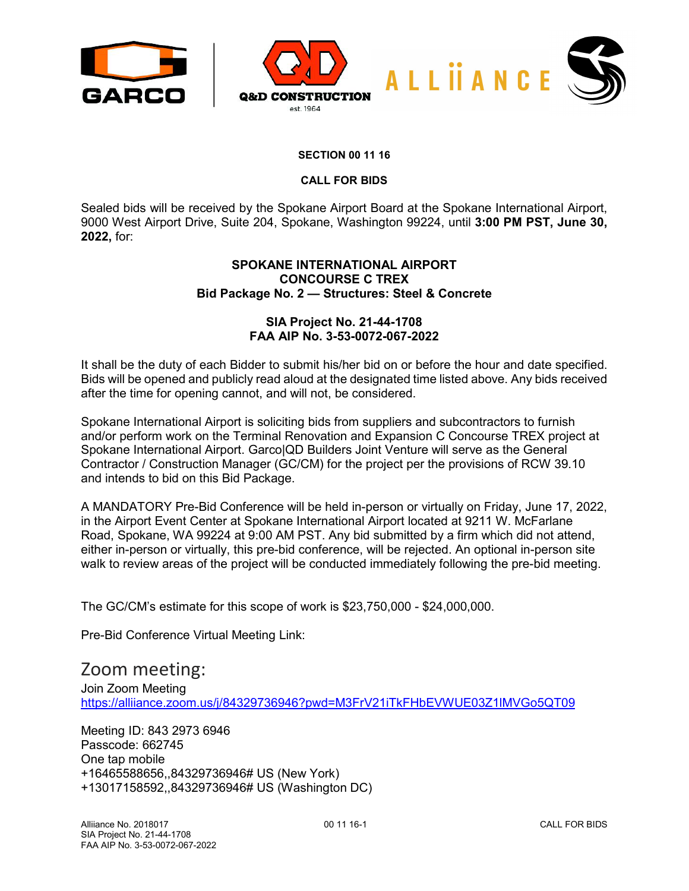



## **SECTION 00 11 16**

#### **CALL FOR BIDS**

Sealed bids will be received by the Spokane Airport Board at the Spokane International Airport, 9000 West Airport Drive, Suite 204, Spokane, Washington 99224, until **3:00 PM PST, June 30, 2022,** for:

# **SPOKANE INTERNATIONAL AIRPORT CONCOURSE C TREX Bid Package No. 2 — Structures: Steel & Concrete**

## **SIA Project No. 21-44-1708 FAA AIP No. 3-53-0072-067-2022**

It shall be the duty of each Bidder to submit his/her bid on or before the hour and date specified. Bids will be opened and publicly read aloud at the designated time listed above. Any bids received after the time for opening cannot, and will not, be considered.

Spokane International Airport is soliciting bids from suppliers and subcontractors to furnish and/or perform work on the Terminal Renovation and Expansion C Concourse TREX project at Spokane International Airport. Garco|QD Builders Joint Venture will serve as the General Contractor / Construction Manager (GC/CM) for the project per the provisions of RCW 39.10 and intends to bid on this Bid Package.

A MANDATORY Pre-Bid Conference will be held in-person or virtually on Friday, June 17, 2022, in the Airport Event Center at Spokane International Airport located at 9211 W. McFarlane Road, Spokane, WA 99224 at 9:00 AM PST. Any bid submitted by a firm which did not attend, either in-person or virtually, this pre-bid conference, will be rejected. An optional in-person site walk to review areas of the project will be conducted immediately following the pre-bid meeting.

The GC/CM's estimate for this scope of work is \$23,750,000 - \$24,000,000.

Pre-Bid Conference Virtual Meeting Link:

# Zoom meeting:

Join Zoom Meeting <https://alliiance.zoom.us/j/84329736946?pwd=M3FrV21iTkFHbEVWUE03Z1lMVGo5QT09>

Meeting ID: 843 2973 6946 Passcode: 662745 One tap mobile +16465588656,,84329736946# US (New York) +13017158592,,84329736946# US (Washington DC)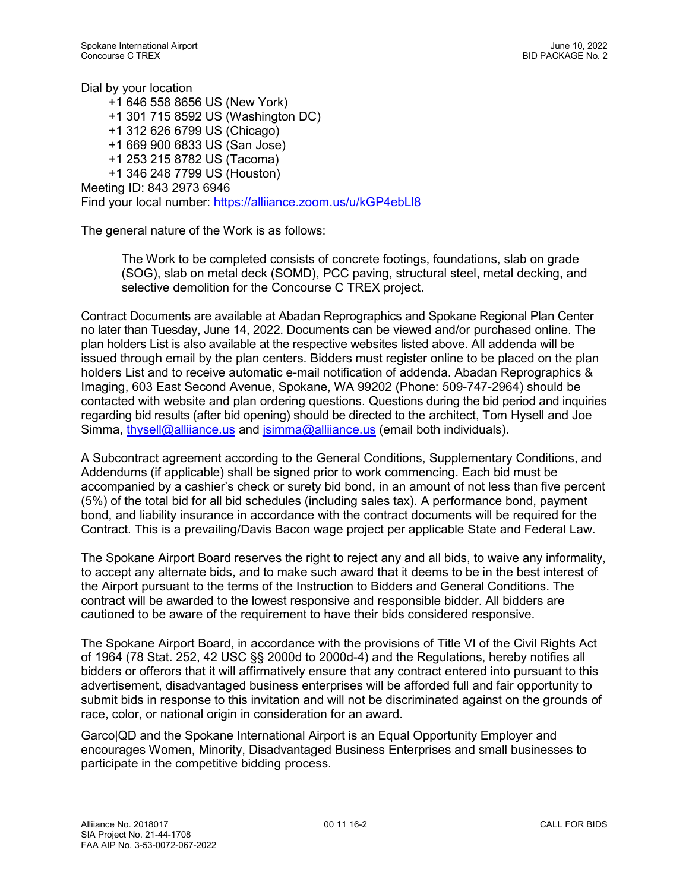Dial by your location +1 646 558 8656 US (New York) +1 301 715 8592 US (Washington DC) +1 312 626 6799 US (Chicago) +1 669 900 6833 US (San Jose) +1 253 215 8782 US (Tacoma) +1 346 248 7799 US (Houston) Meeting ID: 843 2973 6946 Find your local number:<https://alliiance.zoom.us/u/kGP4ebLl8>

The general nature of the Work is as follows:

The Work to be completed consists of concrete footings, foundations, slab on grade (SOG), slab on metal deck (SOMD), PCC paving, structural steel, metal decking, and selective demolition for the Concourse C TREX project.

Contract Documents are available at Abadan Reprographics and Spokane Regional Plan Center no later than Tuesday, June 14, 2022. Documents can be viewed and/or purchased online. The plan holders List is also available at the respective websites listed above. All addenda will be issued through email by the plan centers. Bidders must register online to be placed on the plan holders List and to receive automatic e-mail notification of addenda. Abadan Reprographics & Imaging, 603 East Second Avenue, Spokane, WA 99202 (Phone: 509-747-2964) should be contacted with website and plan ordering questions. Questions during the bid period and inquiries regarding bid results (after bid opening) should be directed to the architect, Tom Hysell and Joe Simma, [thysell@alliiance.us](mailto:thysell@alliiance.us) and [jsimma@alliiance.us](mailto:jsimma@alliiance.us) (email both individuals).

A Subcontract agreement according to the General Conditions, Supplementary Conditions, and Addendums (if applicable) shall be signed prior to work commencing. Each bid must be accompanied by a cashier's check or surety bid bond, in an amount of not less than five percent (5%) of the total bid for all bid schedules (including sales tax). A performance bond, payment bond, and liability insurance in accordance with the contract documents will be required for the Contract. This is a prevailing/Davis Bacon wage project per applicable State and Federal Law.

The Spokane Airport Board reserves the right to reject any and all bids, to waive any informality, to accept any alternate bids, and to make such award that it deems to be in the best interest of the Airport pursuant to the terms of the Instruction to Bidders and General Conditions. The contract will be awarded to the lowest responsive and responsible bidder. All bidders are cautioned to be aware of the requirement to have their bids considered responsive.

The Spokane Airport Board, in accordance with the provisions of Title VI of the Civil Rights Act of 1964 (78 Stat. 252, 42 USC §§ 2000d to 2000d-4) and the Regulations, hereby notifies all bidders or offerors that it will affirmatively ensure that any contract entered into pursuant to this advertisement, disadvantaged business enterprises will be afforded full and fair opportunity to submit bids in response to this invitation and will not be discriminated against on the grounds of race, color, or national origin in consideration for an award.

Garco|QD and the Spokane International Airport is an Equal Opportunity Employer and encourages Women, Minority, Disadvantaged Business Enterprises and small businesses to participate in the competitive bidding process.